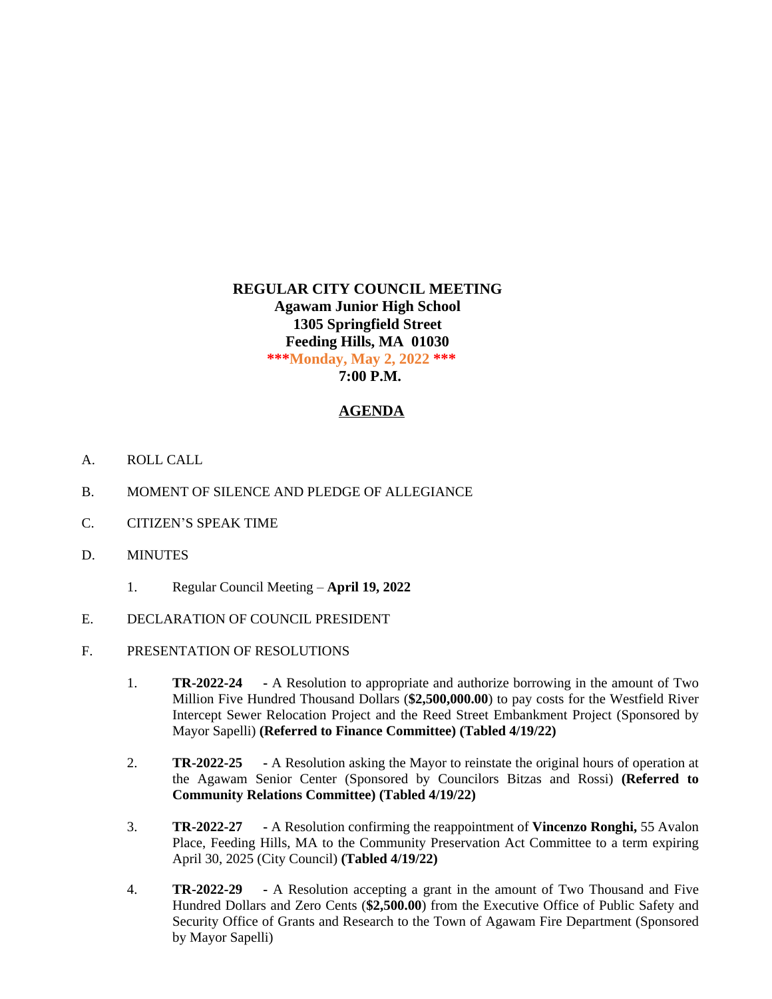# **REGULAR CITY COUNCIL MEETING Agawam Junior High School 1305 Springfield Street Feeding Hills, MA 01030 \*\*\*Monday, May 2, 2022 \*\*\* 7:00 P.M.**

## **AGENDA**

- A. ROLL CALL
- B. MOMENT OF SILENCE AND PLEDGE OF ALLEGIANCE
- C. CITIZEN'S SPEAK TIME
- D. MINUTES
	- 1. Regular Council Meeting **April 19, 2022**
- E. DECLARATION OF COUNCIL PRESIDENT
- F. PRESENTATION OF RESOLUTIONS
	- 1. **TR-2022-24 -** A Resolution to appropriate and authorize borrowing in the amount of Two Million Five Hundred Thousand Dollars (**\$2,500,000.00**) to pay costs for the Westfield River Intercept Sewer Relocation Project and the Reed Street Embankment Project (Sponsored by Mayor Sapelli) **(Referred to Finance Committee) (Tabled 4/19/22)**
	- 2. **TR-2022-25 -** A Resolution asking the Mayor to reinstate the original hours of operation at the Agawam Senior Center (Sponsored by Councilors Bitzas and Rossi) **(Referred to Community Relations Committee) (Tabled 4/19/22)**
	- 3. **TR-2022-27 -** A Resolution confirming the reappointment of **Vincenzo Ronghi,** 55 Avalon Place, Feeding Hills, MA to the Community Preservation Act Committee to a term expiring April 30, 2025 (City Council) **(Tabled 4/19/22)**
	- 4. **TR-2022-29 -** A Resolution accepting a grant in the amount of Two Thousand and Five Hundred Dollars and Zero Cents (**\$2,500.00**) from the Executive Office of Public Safety and Security Office of Grants and Research to the Town of Agawam Fire Department (Sponsored by Mayor Sapelli)